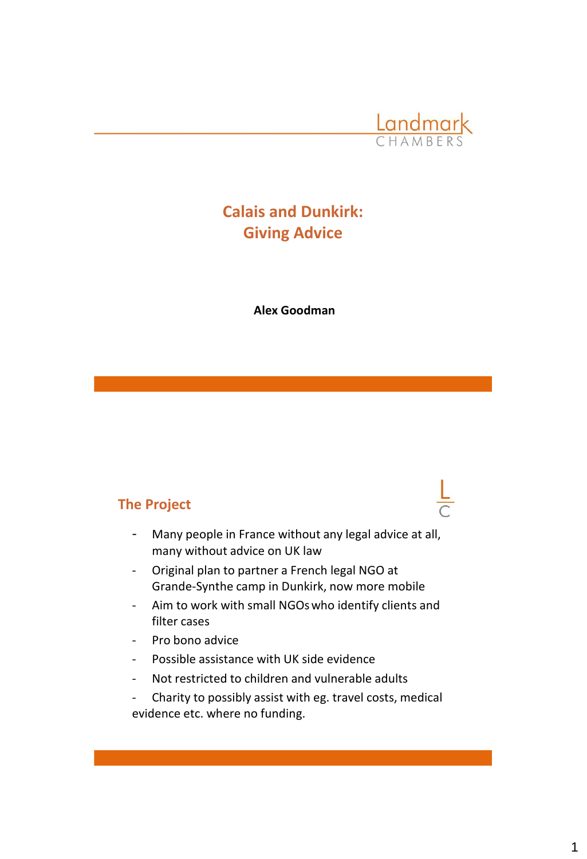

## **Calais and Dunkirk: Giving Advice**

**Alex Goodman**

#### **The Project**

- Many people in France without any legal advice at all, many without advice on UK law
- Original plan to partner a French legal NGO at Grande-Synthe camp in Dunkirk, now more mobile
- Aim to work with small NGOswho identify clients and filter cases
- Pro bono advice
- Possible assistance with UK side evidence
- Not restricted to children and vulnerable adults

- Charity to possibly assist with eg. travel costs, medical evidence etc. where no funding.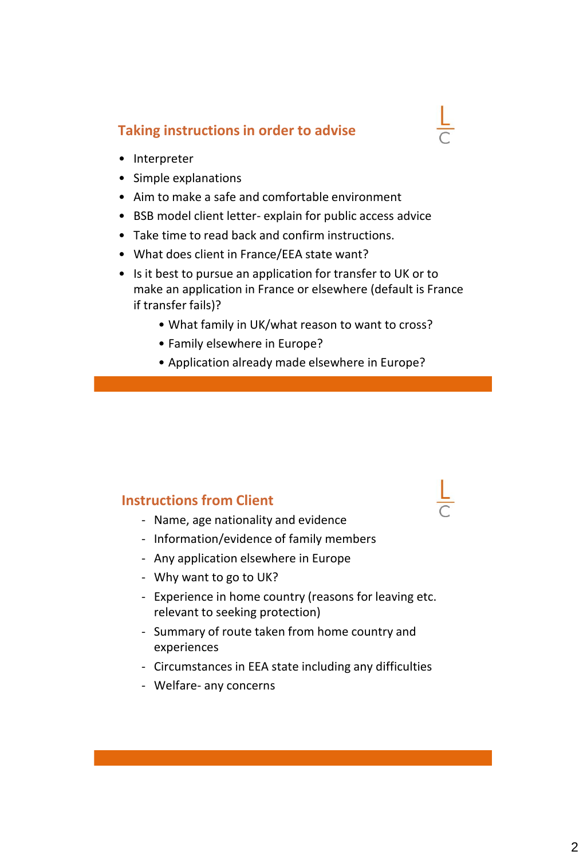### **Taking instructions in order to advise**

- Interpreter
- Simple explanations
- Aim to make a safe and comfortable environment
- BSB model client letter- explain for public access advice
- Take time to read back and confirm instructions.
- What does client in France/EEA state want?
- Is it best to pursue an application for transfer to UK or to make an application in France or elsewhere (default is France if transfer fails)?
	- What family in UK/what reason to want to cross?
	- Family elsewhere in Europe?
	- Application already made elsewhere in Europe?

### **Instructions from Client**

- Name, age nationality and evidence
- Information/evidence of family members
- Any application elsewhere in Europe
- Why want to go to UK?
- Experience in home country (reasons for leaving etc. relevant to seeking protection)
- Summary of route taken from home country and experiences
- Circumstances in EEA state including any difficulties
- Welfare- any concerns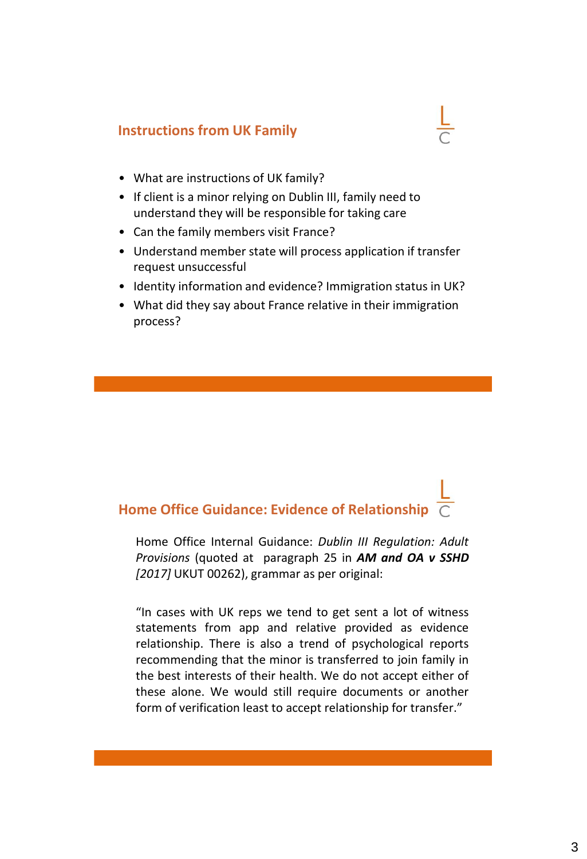## **Instructions from UK Family**

- What are instructions of UK family?
- If client is a minor relying on Dublin III, family need to understand they will be responsible for taking care
- Can the family members visit France?
- Understand member state will process application if transfer request unsuccessful
- Identity information and evidence? Immigration status in UK?
- What did they say about France relative in their immigration process?

# **Home Office Guidance: Evidence of Relationship**

Home Office Internal Guidance: *Dublin III Regulation: Adult Provisions* (quoted at paragraph 25 in *AM and OA v SSHD [2017]* UKUT 00262), grammar as per original:

"In cases with UK reps we tend to get sent a lot of witness statements from app and relative provided as evidence relationship. There is also a trend of psychological reports recommending that the minor is transferred to join family in the best interests of their health. We do not accept either of these alone. We would still require documents or another form of verification least to accept relationship for transfer."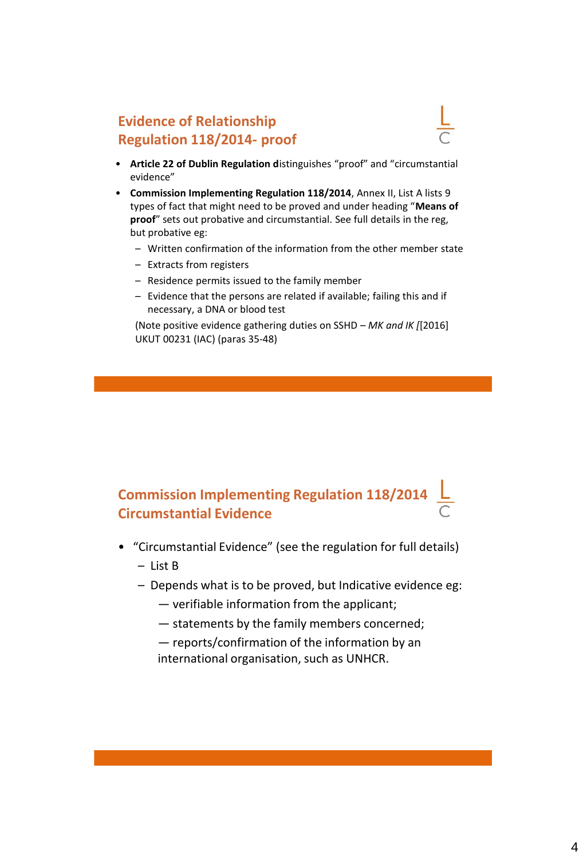## **Evidence of Relationship Regulation 118/2014- proof**

- 
- **Article 22 of Dublin Regulation d**istinguishes "proof" and "circumstantial evidence"
- **Commission Implementing Regulation 118/2014**, Annex II, List A lists 9 types of fact that might need to be proved and under heading "**Means of proof**" sets out probative and circumstantial. See full details in the reg, but probative eg:
	- Written confirmation of the information from the other member state
	- Extracts from registers
	- Residence permits issued to the family member
	- Evidence that the persons are related if available; failing this and if necessary, a DNA or blood test

(Note positive evidence gathering duties on SSHD – *MK and IK [*[2016] UKUT 00231 (IAC) (paras 35-48)

## **Commission Implementing Regulation 118/2014**  $\frac{\mathsf{L}}{2}$ **Circumstantial Evidence**

- "Circumstantial Evidence" (see the regulation for full details)
	- List B
	- Depends what is to be proved, but Indicative evidence eg:
		- verifiable information from the applicant;
		- statements by the family members concerned;
		- reports/confirmation of the information by an international organisation, such as UNHCR.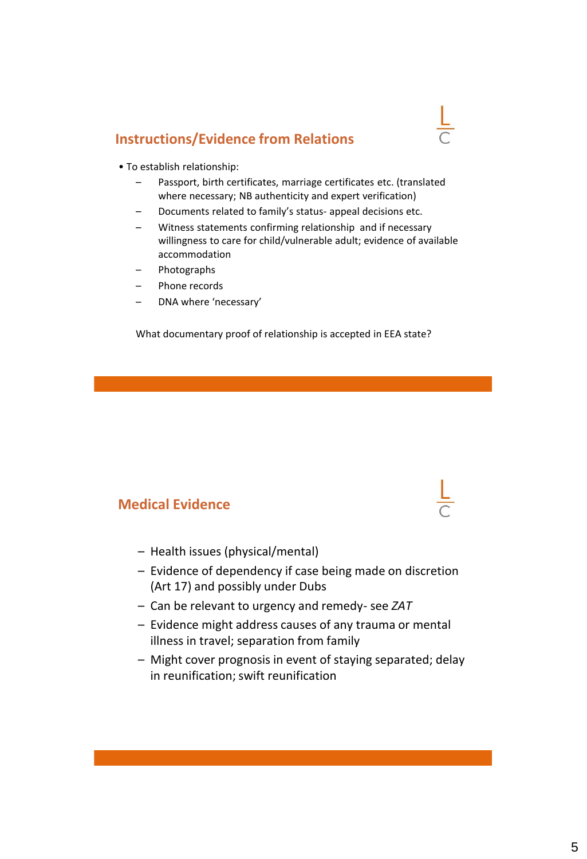## **Instructions/Evidence from Relations**



- To establish relationship:
	- Passport, birth certificates, marriage certificates etc. (translated where necessary; NB authenticity and expert verification)
	- Documents related to family's status- appeal decisions etc.
	- Witness statements confirming relationship and if necessary willingness to care for child/vulnerable adult; evidence of available accommodation
	- Photographs
	- Phone records
	- DNA where 'necessary'

What documentary proof of relationship is accepted in EEA state?

### **Medical Evidence**

- Health issues (physical/mental)
- Evidence of dependency if case being made on discretion (Art 17) and possibly under Dubs
- Can be relevant to urgency and remedy- see *ZAT*
- Evidence might address causes of any trauma or mental illness in travel; separation from family
- Might cover prognosis in event of staying separated; delay in reunification; swift reunification